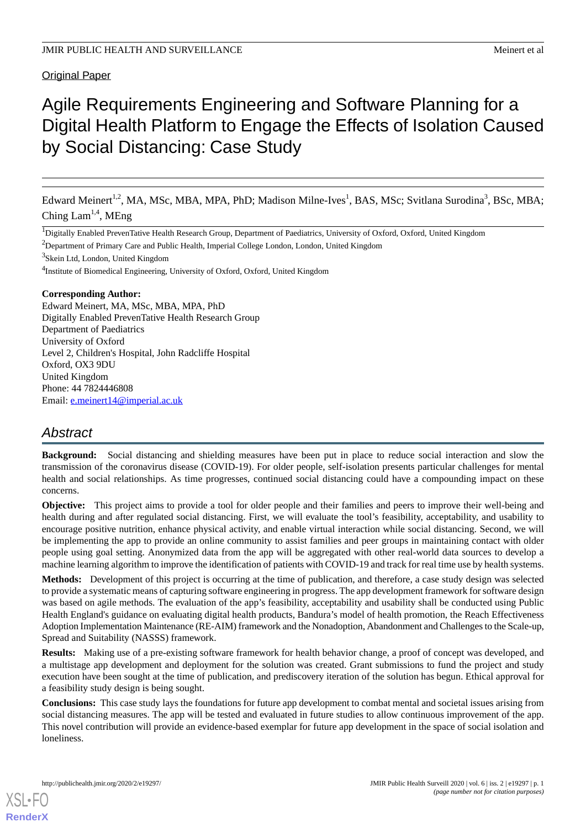**Original Paper** 

# Agile Requirements Engineering and Software Planning for a Digital Health Platform to Engage the Effects of Isolation Caused by Social Distancing: Case Study

Edward Meinert<sup>1,2</sup>, MA, MSc, MBA, MPA, PhD; Madison Milne-Ives<sup>1</sup>, BAS, MSc; Svitlana Surodina<sup>3</sup>, BSc, MBA; Ching  $Lam^{1,4}$ , MEng

<sup>1</sup>Digitally Enabled PrevenTative Health Research Group, Department of Paediatrics, University of Oxford, Oxford, United Kingdom

<sup>2</sup>Department of Primary Care and Public Health, Imperial College London, London, United Kingdom

<sup>3</sup>Skein Ltd, London, United Kingdom

<sup>4</sup>Institute of Biomedical Engineering, University of Oxford, Oxford, United Kingdom

**Corresponding Author:**

Edward Meinert, MA, MSc, MBA, MPA, PhD Digitally Enabled PrevenTative Health Research Group Department of Paediatrics University of Oxford Level 2, Children's Hospital, John Radcliffe Hospital Oxford, OX3 9DU United Kingdom Phone: 44 7824446808 Email: [e.meinert14@imperial.ac.uk](mailto:e.meinert14@imperial.ac.uk)

# *Abstract*

**Background:** Social distancing and shielding measures have been put in place to reduce social interaction and slow the transmission of the coronavirus disease (COVID-19). For older people, self-isolation presents particular challenges for mental health and social relationships. As time progresses, continued social distancing could have a compounding impact on these concerns.

**Objective:** This project aims to provide a tool for older people and their families and peers to improve their well-being and health during and after regulated social distancing. First, we will evaluate the tool's feasibility, acceptability, and usability to encourage positive nutrition, enhance physical activity, and enable virtual interaction while social distancing. Second, we will be implementing the app to provide an online community to assist families and peer groups in maintaining contact with older people using goal setting. Anonymized data from the app will be aggregated with other real-world data sources to develop a machine learning algorithm to improve the identification of patients with COVID-19 and track for real time use by health systems.

**Methods:** Development of this project is occurring at the time of publication, and therefore, a case study design was selected to provide a systematic means of capturing software engineering in progress. The app development framework for software design was based on agile methods. The evaluation of the app's feasibility, acceptability and usability shall be conducted using Public Health England's guidance on evaluating digital health products, Bandura's model of health promotion, the Reach Effectiveness Adoption Implementation Maintenance (RE-AIM) framework and the Nonadoption, Abandonment and Challenges to the Scale-up, Spread and Suitability (NASSS) framework.

**Results:** Making use of a pre-existing software framework for health behavior change, a proof of concept was developed, and a multistage app development and deployment for the solution was created. Grant submissions to fund the project and study execution have been sought at the time of publication, and prediscovery iteration of the solution has begun. Ethical approval for a feasibility study design is being sought.

**Conclusions:** This case study lays the foundations for future app development to combat mental and societal issues arising from social distancing measures. The app will be tested and evaluated in future studies to allow continuous improvement of the app. This novel contribution will provide an evidence-based exemplar for future app development in the space of social isolation and loneliness.

[XSL](http://www.w3.org/Style/XSL)•FO **[RenderX](http://www.renderx.com/)**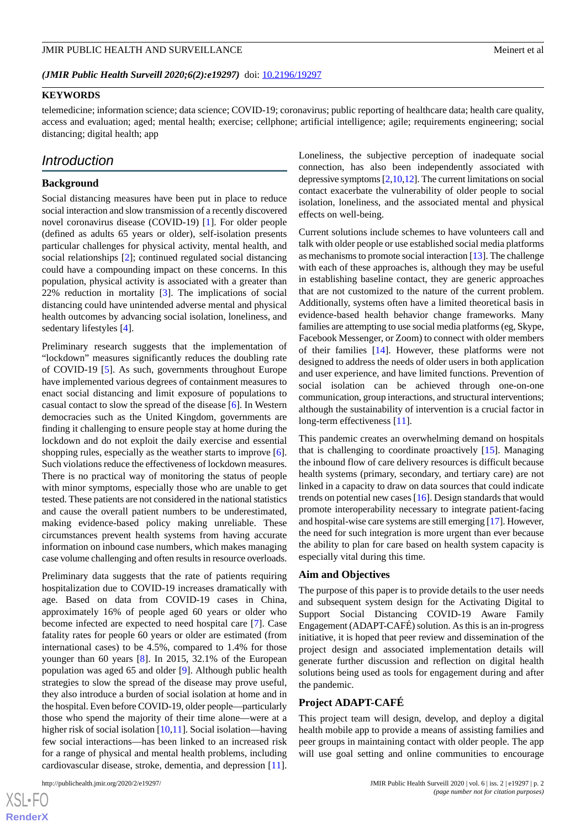## **KEYWORDS**

telemedicine; information science; data science; COVID-19; coronavirus; public reporting of healthcare data; health care quality, access and evaluation; aged; mental health; exercise; cellphone; artificial intelligence; agile; requirements engineering; social distancing; digital health; app

## *Introduction*

#### **Background**

Social distancing measures have been put in place to reduce social interaction and slow transmission of a recently discovered novel coronavirus disease (COVID-19) [\[1](#page-7-0)]. For older people (defined as adults 65 years or older), self-isolation presents particular challenges for physical activity, mental health, and social relationships [[2\]](#page-7-1); continued regulated social distancing could have a compounding impact on these concerns. In this population, physical activity is associated with a greater than 22% reduction in mortality [\[3](#page-7-2)]. The implications of social distancing could have unintended adverse mental and physical health outcomes by advancing social isolation, loneliness, and sedentary lifestyles [\[4](#page-8-0)].

Preliminary research suggests that the implementation of "lockdown" measures significantly reduces the doubling rate of COVID-19 [\[5](#page-8-1)]. As such, governments throughout Europe have implemented various degrees of containment measures to enact social distancing and limit exposure of populations to casual contact to slow the spread of the disease [\[6](#page-8-2)]. In Western democracies such as the United Kingdom, governments are finding it challenging to ensure people stay at home during the lockdown and do not exploit the daily exercise and essential shopping rules, especially as the weather starts to improve [[6\]](#page-8-2). Such violations reduce the effectiveness of lockdown measures. There is no practical way of monitoring the status of people with minor symptoms, especially those who are unable to get tested. These patients are not considered in the national statistics and cause the overall patient numbers to be underestimated, making evidence-based policy making unreliable. These circumstances prevent health systems from having accurate information on inbound case numbers, which makes managing case volume challenging and often results in resource overloads.

Preliminary data suggests that the rate of patients requiring hospitalization due to COVID-19 increases dramatically with age. Based on data from COVID-19 cases in China, approximately 16% of people aged 60 years or older who become infected are expected to need hospital care [\[7](#page-8-3)]. Case fatality rates for people 60 years or older are estimated (from international cases) to be 4.5%, compared to 1.4% for those younger than 60 years [\[8](#page-8-4)]. In 2015, 32.1% of the European population was aged 65 and older [\[9](#page-8-5)]. Although public health strategies to slow the spread of the disease may prove useful, they also introduce a burden of social isolation at home and in the hospital. Even before COVID-19, older people—particularly those who spend the majority of their time alone—were at a higher risk of social isolation [[10,](#page-8-6)[11](#page-8-7)]. Social isolation—having few social interactions—has been linked to an increased risk for a range of physical and mental health problems, including cardiovascular disease, stroke, dementia, and depression [[11\]](#page-8-7).

[XSL](http://www.w3.org/Style/XSL)•FO **[RenderX](http://www.renderx.com/)** Loneliness, the subjective perception of inadequate social connection, has also been independently associated with depressive symptoms [[2](#page-7-1),[10,](#page-8-6)[12\]](#page-8-8). The current limitations on social contact exacerbate the vulnerability of older people to social isolation, loneliness, and the associated mental and physical effects on well-being.

Current solutions include schemes to have volunteers call and talk with older people or use established social media platforms as mechanisms to promote social interaction [\[13](#page-8-9)]. The challenge with each of these approaches is, although they may be useful in establishing baseline contact, they are generic approaches that are not customized to the nature of the current problem. Additionally, systems often have a limited theoretical basis in evidence-based health behavior change frameworks. Many families are attempting to use social media platforms (eg, Skype, Facebook Messenger, or Zoom) to connect with older members of their families [[14\]](#page-8-10). However, these platforms were not designed to address the needs of older users in both application and user experience, and have limited functions. Prevention of social isolation can be achieved through one-on-one communication, group interactions, and structural interventions; although the sustainability of intervention is a crucial factor in long-term effectiveness [[11\]](#page-8-7).

This pandemic creates an overwhelming demand on hospitals that is challenging to coordinate proactively [[15\]](#page-8-11). Managing the inbound flow of care delivery resources is difficult because health systems (primary, secondary, and tertiary care) are not linked in a capacity to draw on data sources that could indicate trends on potential new cases [\[16](#page-8-12)]. Design standards that would promote interoperability necessary to integrate patient-facing and hospital-wise care systems are still emerging [[17\]](#page-8-13). However, the need for such integration is more urgent than ever because the ability to plan for care based on health system capacity is especially vital during this time.

#### **Aim and Objectives**

The purpose of this paper is to provide details to the user needs and subsequent system design for the Activating Digital to Support Social Distancing COVID-19 Aware Family Engagement (ADAPT-CAFÉ) solution. As this is an in-progress initiative, it is hoped that peer review and dissemination of the project design and associated implementation details will generate further discussion and reflection on digital health solutions being used as tools for engagement during and after the pandemic.

## **Project ADAPT-CAFÉ**

This project team will design, develop, and deploy a digital health mobile app to provide a means of assisting families and peer groups in maintaining contact with older people. The app will use goal setting and online communities to encourage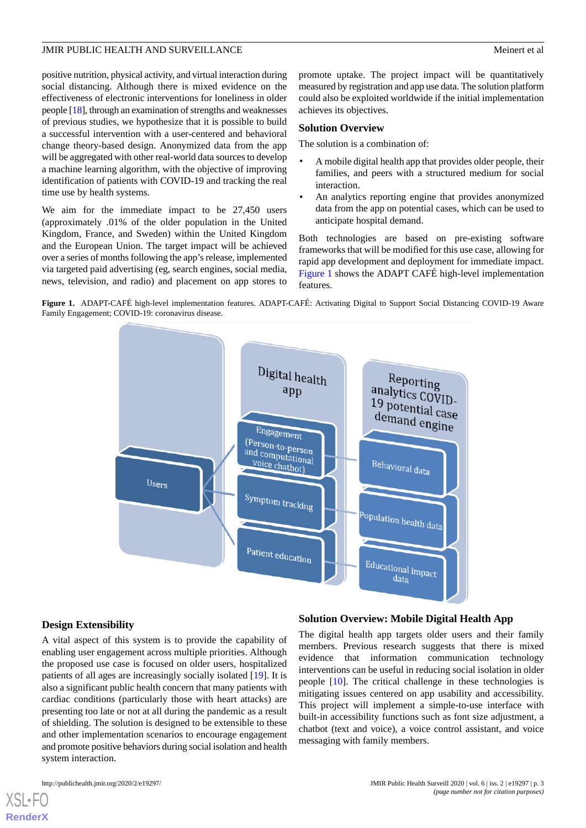positive nutrition, physical activity, and virtual interaction during social distancing. Although there is mixed evidence on the effectiveness of electronic interventions for loneliness in older people [[18](#page-8-14)], through an examination of strengths and weaknesses of previous studies, we hypothesize that it is possible to build a successful intervention with a user-centered and behavioral change theory-based design. Anonymized data from the app will be aggregated with other real-world data sources to develop a machine learning algorithm, with the objective of improving identification of patients with COVID-19 and tracking the real time use by health systems.

We aim for the immediate impact to be 27,450 users (approximately .01% of the older population in the United Kingdom, France, and Sweden) within the United Kingdom and the European Union. The target impact will be achieved over a series of months following the app's release, implemented via targeted paid advertising (eg, search engines, social media, news, television, and radio) and placement on app stores to

promote uptake. The project impact will be quantitatively measured by registration and app use data. The solution platform could also be exploited worldwide if the initial implementation achieves its objectives.

#### **Solution Overview**

The solution is a combination of:

- A mobile digital health app that provides older people, their families, and peers with a structured medium for social interaction.
- An analytics reporting engine that provides anonymized data from the app on potential cases, which can be used to anticipate hospital demand.

Both technologies are based on pre-existing software frameworks that will be modified for this use case, allowing for rapid app development and deployment for immediate impact. [Figure 1](#page-2-0) shows the ADAPT CAFÉ high-level implementation features.

<span id="page-2-0"></span>



#### **Design Extensibility**

A vital aspect of this system is to provide the capability of enabling user engagement across multiple priorities. Although the proposed use case is focused on older users, hospitalized patients of all ages are increasingly socially isolated [[19\]](#page-8-15). It is also a significant public health concern that many patients with cardiac conditions (particularly those with heart attacks) are presenting too late or not at all during the pandemic as a result of shielding. The solution is designed to be extensible to these and other implementation scenarios to encourage engagement and promote positive behaviors during social isolation and health system interaction.

#### **Solution Overview: Mobile Digital Health App**

The digital health app targets older users and their family members. Previous research suggests that there is mixed evidence that information communication technology interventions can be useful in reducing social isolation in older people [\[10](#page-8-6)]. The critical challenge in these technologies is mitigating issues centered on app usability and accessibility. This project will implement a simple-to-use interface with built-in accessibility functions such as font size adjustment, a chatbot (text and voice), a voice control assistant, and voice messaging with family members.

[XSL](http://www.w3.org/Style/XSL)•FO **[RenderX](http://www.renderx.com/)**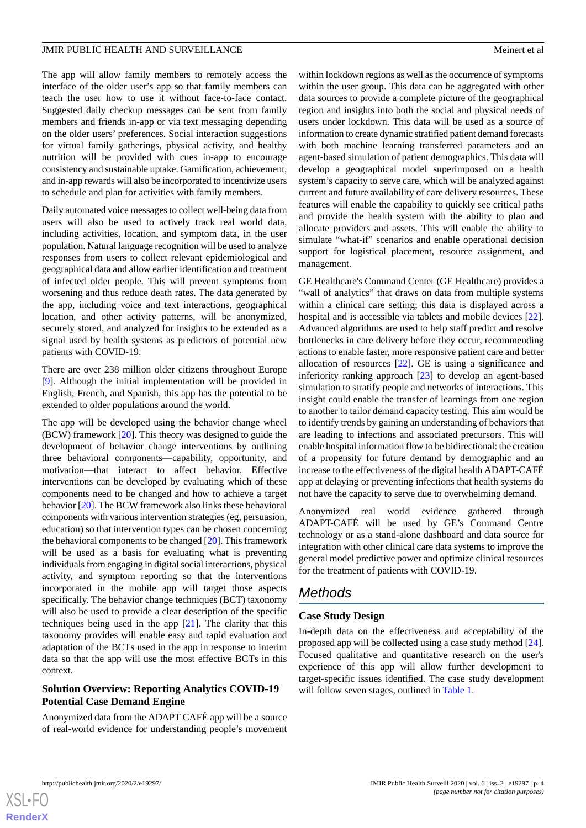The app will allow family members to remotely access the interface of the older user's app so that family members can teach the user how to use it without face-to-face contact. Suggested daily checkup messages can be sent from family members and friends in-app or via text messaging depending on the older users' preferences. Social interaction suggestions for virtual family gatherings, physical activity, and healthy nutrition will be provided with cues in-app to encourage consistency and sustainable uptake. Gamification, achievement, and in-app rewards will also be incorporated to incentivize users to schedule and plan for activities with family members.

Daily automated voice messages to collect well-being data from users will also be used to actively track real world data, including activities, location, and symptom data, in the user population. Natural language recognition will be used to analyze responses from users to collect relevant epidemiological and geographical data and allow earlier identification and treatment of infected older people. This will prevent symptoms from worsening and thus reduce death rates. The data generated by the app, including voice and text interactions, geographical location, and other activity patterns, will be anonymized, securely stored, and analyzed for insights to be extended as a signal used by health systems as predictors of potential new patients with COVID-19.

There are over 238 million older citizens throughout Europe [[9\]](#page-8-5). Although the initial implementation will be provided in English, French, and Spanish, this app has the potential to be extended to older populations around the world.

The app will be developed using the behavior change wheel (BCW) framework [\[20](#page-8-16)]. This theory was designed to guide the development of behavior change interventions by outlining three behavioral components—capability, opportunity, and motivation—that interact to affect behavior. Effective interventions can be developed by evaluating which of these components need to be changed and how to achieve a target behavior [\[20](#page-8-16)]. The BCW framework also links these behavioral components with various intervention strategies (eg, persuasion, education) so that intervention types can be chosen concerning the behavioral components to be changed [[20\]](#page-8-16). This framework will be used as a basis for evaluating what is preventing individuals from engaging in digital social interactions, physical activity, and symptom reporting so that the interventions incorporated in the mobile app will target those aspects specifically. The behavior change techniques (BCT) taxonomy will also be used to provide a clear description of the specific techniques being used in the app [[21\]](#page-8-17). The clarity that this taxonomy provides will enable easy and rapid evaluation and adaptation of the BCTs used in the app in response to interim data so that the app will use the most effective BCTs in this context.

## **Solution Overview: Reporting Analytics COVID-19 Potential Case Demand Engine**

Anonymized data from the ADAPT CAFÉ app will be a source of real-world evidence for understanding people's movement within lockdown regions as well as the occurrence of symptoms within the user group. This data can be aggregated with other data sources to provide a complete picture of the geographical region and insights into both the social and physical needs of users under lockdown. This data will be used as a source of information to create dynamic stratified patient demand forecasts with both machine learning transferred parameters and an agent-based simulation of patient demographics. This data will develop a geographical model superimposed on a health system's capacity to serve care, which will be analyzed against current and future availability of care delivery resources. These features will enable the capability to quickly see critical paths and provide the health system with the ability to plan and allocate providers and assets. This will enable the ability to simulate "what-if" scenarios and enable operational decision support for logistical placement, resource assignment, and management.

GE Healthcare's Command Center (GE Healthcare) provides a "wall of analytics" that draws on data from multiple systems within a clinical care setting; this data is displayed across a hospital and is accessible via tablets and mobile devices [[22\]](#page-8-18). Advanced algorithms are used to help staff predict and resolve bottlenecks in care delivery before they occur, recommending actions to enable faster, more responsive patient care and better allocation of resources [\[22](#page-8-18)]. GE is using a significance and inferiority ranking approach [[23\]](#page-8-19) to develop an agent-based simulation to stratify people and networks of interactions. This insight could enable the transfer of learnings from one region to another to tailor demand capacity testing. This aim would be to identify trends by gaining an understanding of behaviors that are leading to infections and associated precursors. This will enable hospital information flow to be bidirectional: the creation of a propensity for future demand by demographic and an increase to the effectiveness of the digital health ADAPT-CAFÉ app at delaying or preventing infections that health systems do not have the capacity to serve due to overwhelming demand.

Anonymized real world evidence gathered through ADAPT-CAFÉ will be used by GE's Command Centre technology or as a stand-alone dashboard and data source for integration with other clinical care data systems to improve the general model predictive power and optimize clinical resources for the treatment of patients with COVID-19.

# *Methods*

## **Case Study Design**

In-depth data on the effectiveness and acceptability of the proposed app will be collected using a case study method [[24\]](#page-8-20). Focused qualitative and quantitative research on the user's experience of this app will allow further development to target-specific issues identified. The case study development will follow seven stages, outlined in [Table 1](#page-4-0).

 $XS$ -FO **[RenderX](http://www.renderx.com/)**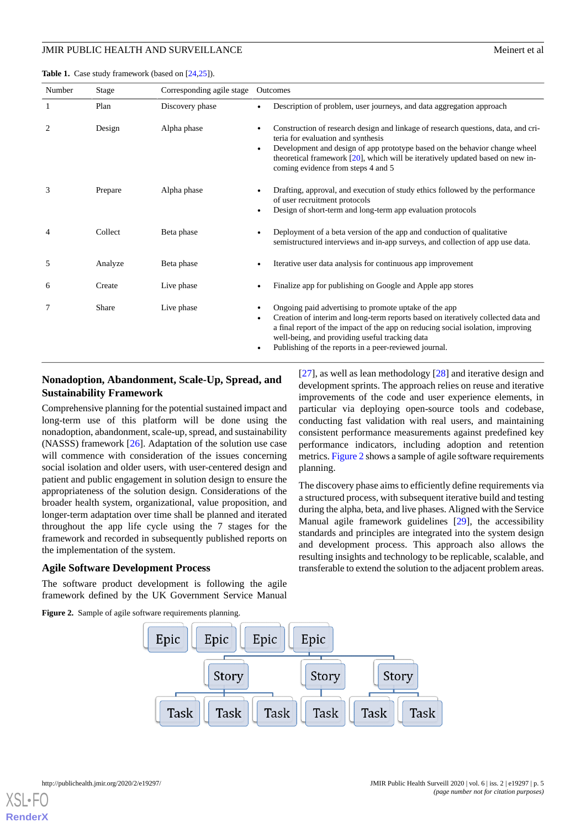Number Stage Corresponding agile stage Outcomes

<span id="page-4-0"></span>Table 1. Case study framework (based on [\[24,](#page-8-20)[25](#page-8-21)]).

|   | Plan    | Discovery phase | Description of problem, user journeys, and data aggregation approach                                                                                                                                                                                                                                                                          |
|---|---------|-----------------|-----------------------------------------------------------------------------------------------------------------------------------------------------------------------------------------------------------------------------------------------------------------------------------------------------------------------------------------------|
|   | Design  | Alpha phase     | Construction of research design and linkage of research questions, data, and cri-<br>teria for evaluation and synthesis<br>Development and design of app prototype based on the behavior change wheel<br>$\bullet$<br>theoretical framework $[20]$ , which will be iteratively updated based on new in-<br>coming evidence from steps 4 and 5 |
|   | Prepare | Alpha phase     | Drafting, approval, and execution of study ethics followed by the performance<br>of user recruitment protocols<br>Design of short-term and long-term app evaluation protocols<br>٠                                                                                                                                                            |
|   | Collect | Beta phase      | Deployment of a beta version of the app and conduction of qualitative<br>semistructured interviews and in-app surveys, and collection of app use data.                                                                                                                                                                                        |
|   | Analyze | Beta phase      | Iterative user data analysis for continuous app improvement                                                                                                                                                                                                                                                                                   |
| 6 | Create  | Live phase      | Finalize app for publishing on Google and Apple app stores                                                                                                                                                                                                                                                                                    |

7 Share Live phase • Congoing paid advertising to promote uptake of the app

## **Nonadoption, Abandonment, Scale-Up, Spread, and Sustainability Framework**

Comprehensive planning for the potential sustained impact and long-term use of this platform will be done using the nonadoption, abandonment, scale-up, spread, and sustainability (NASSS) framework [\[26](#page-8-22)]. Adaptation of the solution use case will commence with consideration of the issues concerning social isolation and older users, with user-centered design and patient and public engagement in solution design to ensure the appropriateness of the solution design. Considerations of the broader health system, organizational, value proposition, and longer-term adaptation over time shall be planned and iterated throughout the app life cycle using the 7 stages for the framework and recorded in subsequently published reports on the implementation of the system.

## <span id="page-4-1"></span>**Agile Software Development Process**

The software product development is following the agile framework defined by the UK Government Service Manual

**Figure 2.** Sample of agile software requirements planning.

[[27\]](#page-8-23), as well as lean methodology [\[28](#page-8-24)] and iterative design and development sprints. The approach relies on reuse and iterative improvements of the code and user experience elements, in particular via deploying open-source tools and codebase, conducting fast validation with real users, and maintaining consistent performance measurements against predefined key performance indicators, including adoption and retention metrics. [Figure 2](#page-4-1) shows a sample of agile software requirements planning.

• Creation of interim and long-term reports based on iteratively collected data and a final report of the impact of the app on reducing social isolation, improving

well-being, and providing useful tracking data Publishing of the reports in a peer-reviewed journal.

> The discovery phase aims to efficiently define requirements via a structured process, with subsequent iterative build and testing during the alpha, beta, and live phases. Aligned with the Service Manual agile framework guidelines [\[29](#page-8-25)], the accessibility standards and principles are integrated into the system design and development process. This approach also allows the resulting insights and technology to be replicable, scalable, and transferable to extend the solution to the adjacent problem areas.

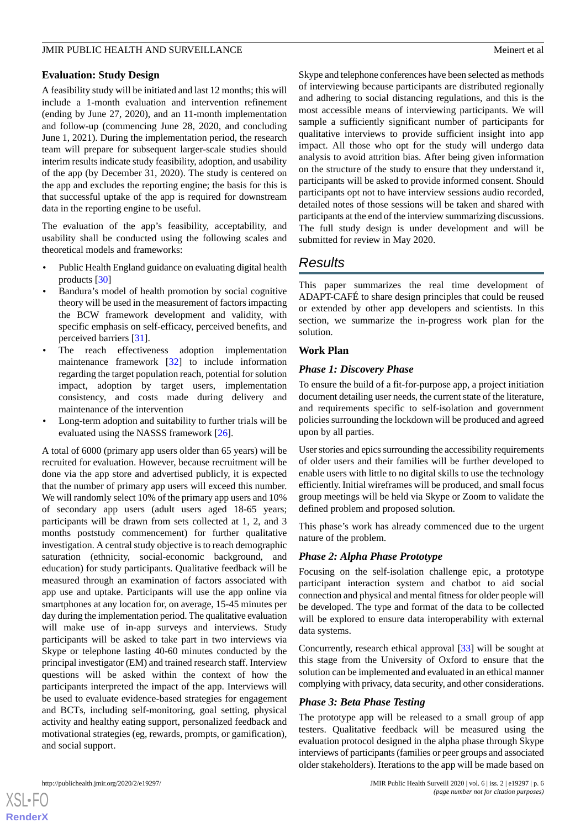## **Evaluation: Study Design**

A feasibility study will be initiated and last 12 months; this will include a 1-month evaluation and intervention refinement (ending by June 27, 2020), and an 11-month implementation and follow-up (commencing June 28, 2020, and concluding June 1, 2021). During the implementation period, the research team will prepare for subsequent larger-scale studies should interim results indicate study feasibility, adoption, and usability of the app (by December 31, 2020). The study is centered on the app and excludes the reporting engine; the basis for this is that successful uptake of the app is required for downstream data in the reporting engine to be useful.

The evaluation of the app's feasibility, acceptability, and usability shall be conducted using the following scales and theoretical models and frameworks:

- Public Health England guidance on evaluating digital health products [[30\]](#page-8-26)
- Bandura's model of health promotion by social cognitive theory will be used in the measurement of factors impacting the BCW framework development and validity, with specific emphasis on self-efficacy, perceived benefits, and perceived barriers [[31\]](#page-9-0).
- The reach effectiveness adoption implementation maintenance framework [[32\]](#page-9-1) to include information regarding the target population reach, potential for solution impact, adoption by target users, implementation consistency, and costs made during delivery and maintenance of the intervention
- Long-term adoption and suitability to further trials will be evaluated using the NASSS framework [\[26](#page-8-22)].

A total of 6000 (primary app users older than 65 years) will be recruited for evaluation. However, because recruitment will be done via the app store and advertised publicly, it is expected that the number of primary app users will exceed this number. We will randomly select 10% of the primary app users and 10% of secondary app users (adult users aged 18-65 years; participants will be drawn from sets collected at 1, 2, and 3 months poststudy commencement) for further qualitative investigation. A central study objective is to reach demographic saturation (ethnicity, social-economic background, and education) for study participants. Qualitative feedback will be measured through an examination of factors associated with app use and uptake. Participants will use the app online via smartphones at any location for, on average, 15-45 minutes per day during the implementation period. The qualitative evaluation will make use of in-app surveys and interviews. Study participants will be asked to take part in two interviews via Skype or telephone lasting 40-60 minutes conducted by the principal investigator (EM) and trained research staff. Interview questions will be asked within the context of how the participants interpreted the impact of the app. Interviews will be used to evaluate evidence-based strategies for engagement and BCTs, including self-monitoring, goal setting, physical activity and healthy eating support, personalized feedback and motivational strategies (eg, rewards, prompts, or gamification), and social support.

Skype and telephone conferences have been selected as methods of interviewing because participants are distributed regionally and adhering to social distancing regulations, and this is the most accessible means of interviewing participants. We will sample a sufficiently significant number of participants for qualitative interviews to provide sufficient insight into app impact. All those who opt for the study will undergo data analysis to avoid attrition bias. After being given information on the structure of the study to ensure that they understand it, participants will be asked to provide informed consent. Should participants opt not to have interview sessions audio recorded, detailed notes of those sessions will be taken and shared with participants at the end of the interview summarizing discussions. The full study design is under development and will be submitted for review in May 2020.

# *Results*

This paper summarizes the real time development of ADAPT-CAFÉ to share design principles that could be reused or extended by other app developers and scientists. In this section, we summarize the in-progress work plan for the solution.

## **Work Plan**

## *Phase 1: Discovery Phase*

To ensure the build of a fit-for-purpose app, a project initiation document detailing user needs, the current state of the literature, and requirements specific to self-isolation and government policies surrounding the lockdown will be produced and agreed upon by all parties.

User stories and epics surrounding the accessibility requirements of older users and their families will be further developed to enable users with little to no digital skills to use the technology efficiently. Initial wireframes will be produced, and small focus group meetings will be held via Skype or Zoom to validate the defined problem and proposed solution.

This phase's work has already commenced due to the urgent nature of the problem.

## *Phase 2: Alpha Phase Prototype*

Focusing on the self-isolation challenge epic, a prototype participant interaction system and chatbot to aid social connection and physical and mental fitness for older people will be developed. The type and format of the data to be collected will be explored to ensure data interoperability with external data systems.

Concurrently, research ethical approval [\[33](#page-9-2)] will be sought at this stage from the University of Oxford to ensure that the solution can be implemented and evaluated in an ethical manner complying with privacy, data security, and other considerations.

## *Phase 3: Beta Phase Testing*

The prototype app will be released to a small group of app testers. Qualitative feedback will be measured using the evaluation protocol designed in the alpha phase through Skype interviews of participants (families or peer groups and associated older stakeholders). Iterations to the app will be made based on

 $XS$  • FO **[RenderX](http://www.renderx.com/)**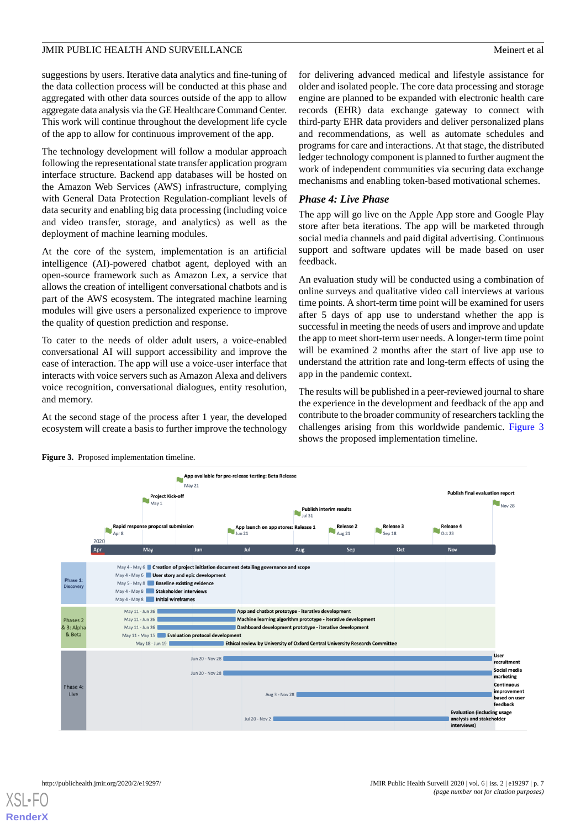suggestions by users. Iterative data analytics and fine-tuning of the data collection process will be conducted at this phase and aggregated with other data sources outside of the app to allow aggregate data analysis via the GE Healthcare Command Center. This work will continue throughout the development life cycle of the app to allow for continuous improvement of the app.

The technology development will follow a modular approach following the representational state transfer application program interface structure. Backend app databases will be hosted on the Amazon Web Services (AWS) infrastructure, complying with General Data Protection Regulation-compliant levels of data security and enabling big data processing (including voice and video transfer, storage, and analytics) as well as the deployment of machine learning modules.

At the core of the system, implementation is an artificial intelligence (AI)-powered chatbot agent, deployed with an open-source framework such as Amazon Lex, a service that allows the creation of intelligent conversational chatbots and is part of the AWS ecosystem. The integrated machine learning modules will give users a personalized experience to improve the quality of question prediction and response.

To cater to the needs of older adult users, a voice-enabled conversational AI will support accessibility and improve the ease of interaction. The app will use a voice-user interface that interacts with voice servers such as Amazon Alexa and delivers voice recognition, conversational dialogues, entity resolution, and memory.

<span id="page-6-0"></span>At the second stage of the process after 1 year, the developed ecosystem will create a basis to further improve the technology for delivering advanced medical and lifestyle assistance for older and isolated people. The core data processing and storage engine are planned to be expanded with electronic health care records (EHR) data exchange gateway to connect with third-party EHR data providers and deliver personalized plans and recommendations, as well as automate schedules and programs for care and interactions. At that stage, the distributed ledger technology component is planned to further augment the work of independent communities via securing data exchange mechanisms and enabling token-based motivational schemes.

## *Phase 4: Live Phase*

The app will go live on the Apple App store and Google Play store after beta iterations. The app will be marketed through social media channels and paid digital advertising. Continuous support and software updates will be made based on user feedback.

An evaluation study will be conducted using a combination of online surveys and qualitative video call interviews at various time points. A short-term time point will be examined for users after 5 days of app use to understand whether the app is successful in meeting the needs of users and improve and update the app to meet short-term user needs. A longer-term time point will be examined 2 months after the start of live app use to understand the attrition rate and long-term effects of using the app in the pandemic context.

The results will be published in a peer-reviewed journal to share the experience in the development and feedback of the app and contribute to the broader community of researchers tackling the challenges arising from this worldwide pandemic. [Figure 3](#page-6-0) shows the proposed implementation timeline.



**Figure 3.** Proposed implementation timeline.

 $XS$  • FO **[RenderX](http://www.renderx.com/)**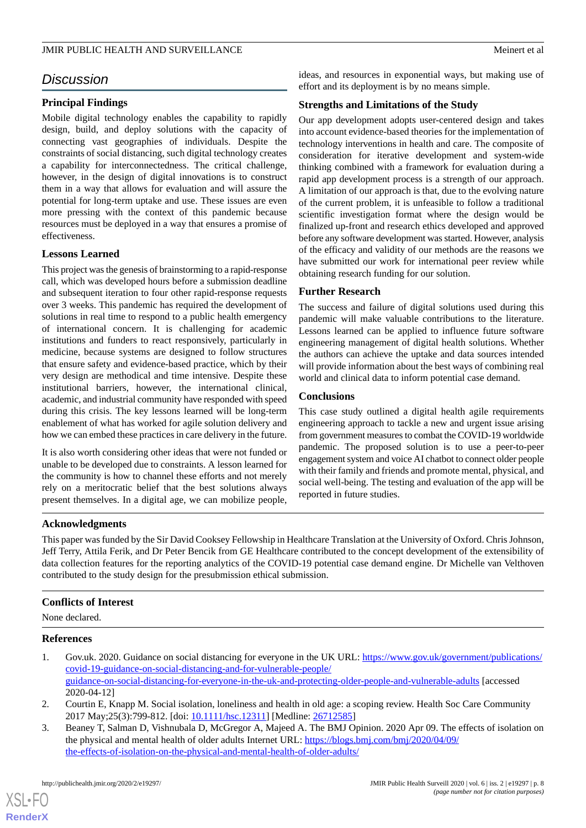# *Discussion*

## **Principal Findings**

Mobile digital technology enables the capability to rapidly design, build, and deploy solutions with the capacity of connecting vast geographies of individuals. Despite the constraints of social distancing, such digital technology creates a capability for interconnectedness. The critical challenge, however, in the design of digital innovations is to construct them in a way that allows for evaluation and will assure the potential for long-term uptake and use. These issues are even more pressing with the context of this pandemic because resources must be deployed in a way that ensures a promise of effectiveness.

## **Lessons Learned**

This project was the genesis of brainstorming to a rapid-response call, which was developed hours before a submission deadline and subsequent iteration to four other rapid-response requests over 3 weeks. This pandemic has required the development of solutions in real time to respond to a public health emergency of international concern. It is challenging for academic institutions and funders to react responsively, particularly in medicine, because systems are designed to follow structures that ensure safety and evidence-based practice, which by their very design are methodical and time intensive. Despite these institutional barriers, however, the international clinical, academic, and industrial community have responded with speed during this crisis. The key lessons learned will be long-term enablement of what has worked for agile solution delivery and how we can embed these practices in care delivery in the future.

It is also worth considering other ideas that were not funded or unable to be developed due to constraints. A lesson learned for the community is how to channel these efforts and not merely rely on a meritocratic belief that the best solutions always present themselves. In a digital age, we can mobilize people,

ideas, and resources in exponential ways, but making use of effort and its deployment is by no means simple.

## **Strengths and Limitations of the Study**

Our app development adopts user-centered design and takes into account evidence-based theories for the implementation of technology interventions in health and care. The composite of consideration for iterative development and system-wide thinking combined with a framework for evaluation during a rapid app development process is a strength of our approach. A limitation of our approach is that, due to the evolving nature of the current problem, it is unfeasible to follow a traditional scientific investigation format where the design would be finalized up-front and research ethics developed and approved before any software development was started. However, analysis of the efficacy and validity of our methods are the reasons we have submitted our work for international peer review while obtaining research funding for our solution.

## **Further Research**

The success and failure of digital solutions used during this pandemic will make valuable contributions to the literature. Lessons learned can be applied to influence future software engineering management of digital health solutions. Whether the authors can achieve the uptake and data sources intended will provide information about the best ways of combining real world and clinical data to inform potential case demand.

## **Conclusions**

This case study outlined a digital health agile requirements engineering approach to tackle a new and urgent issue arising from government measures to combat the COVID-19 worldwide pandemic. The proposed solution is to use a peer-to-peer engagement system and voice AI chatbot to connect older people with their family and friends and promote mental, physical, and social well-being. The testing and evaluation of the app will be reported in future studies.

## **Acknowledgments**

This paper was funded by the Sir David Cooksey Fellowship in Healthcare Translation at the University of Oxford. Chris Johnson, Jeff Terry, Attila Ferik, and Dr Peter Bencik from GE Healthcare contributed to the concept development of the extensibility of data collection features for the reporting analytics of the COVID-19 potential case demand engine. Dr Michelle van Velthoven contributed to the study design for the presubmission ethical submission.

## <span id="page-7-0"></span>**Conflicts of Interest**

None declared.

## <span id="page-7-1"></span>**References**

 $X$ SL•F $O$ **[RenderX](http://www.renderx.com/)**

- <span id="page-7-2"></span>1. Gov.uk. 2020. Guidance on social distancing for everyone in the UK URL: [https://www.gov.uk/government/publications/](https://www.gov.uk/government/publications/covid-19-guidance-on-social-distancing-and-for-vulnerable-people/guidance-on-social-distancing-for-everyone-in-the-uk-and-protecting-older-people-and-vulnerable-adults) [covid-19-guidance-on-social-distancing-and-for-vulnerable-people/](https://www.gov.uk/government/publications/covid-19-guidance-on-social-distancing-and-for-vulnerable-people/guidance-on-social-distancing-for-everyone-in-the-uk-and-protecting-older-people-and-vulnerable-adults) [guidance-on-social-distancing-for-everyone-in-the-uk-and-protecting-older-people-and-vulnerable-adults](https://www.gov.uk/government/publications/covid-19-guidance-on-social-distancing-and-for-vulnerable-people/guidance-on-social-distancing-for-everyone-in-the-uk-and-protecting-older-people-and-vulnerable-adults) [accessed 2020-04-12]
- 2. Courtin E, Knapp M. Social isolation, loneliness and health in old age: a scoping review. Health Soc Care Community 2017 May; 25(3): 799-812. [doi: 10.1111/hsc. 12311] [Medline: [26712585](http://www.ncbi.nlm.nih.gov/entrez/query.fcgi?cmd=Retrieve&db=PubMed&list_uids=26712585&dopt=Abstract)]
- 3. Beaney T, Salman D, Vishnubala D, McGregor A, Majeed A. The BMJ Opinion. 2020 Apr 09. The effects of isolation on the physical and mental health of older adults Internet URL: [https://blogs.bmj.com/bmj/2020/04/09/](https://blogs.bmj.com/bmj/2020/04/09/the-effects-of-isolation-on-the-physical-and-mental-health-of-older-adults/) [the-effects-of-isolation-on-the-physical-and-mental-health-of-older-adults/](https://blogs.bmj.com/bmj/2020/04/09/the-effects-of-isolation-on-the-physical-and-mental-health-of-older-adults/)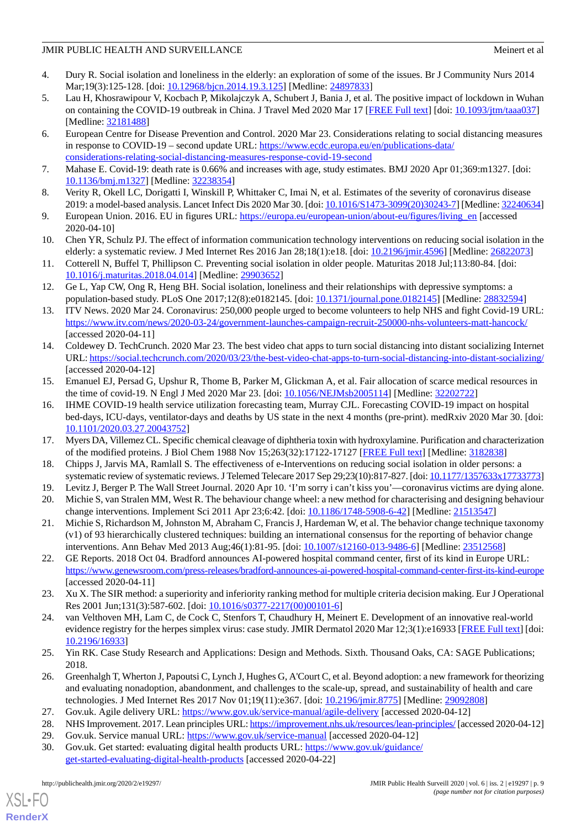- <span id="page-8-0"></span>4. Dury R. Social isolation and loneliness in the elderly: an exploration of some of the issues. Br J Community Nurs 2014 Mar;19(3):125-128. [doi: [10.12968/bjcn.2014.19.3.125\]](http://dx.doi.org/10.12968/bjcn.2014.19.3.125) [Medline: [24897833](http://www.ncbi.nlm.nih.gov/entrez/query.fcgi?cmd=Retrieve&db=PubMed&list_uids=24897833&dopt=Abstract)]
- <span id="page-8-1"></span>5. Lau H, Khosrawipour V, Kocbach P, Mikolajczyk A, Schubert J, Bania J, et al. The positive impact of lockdown in Wuhan on containing the COVID-19 outbreak in China. J Travel Med 2020 Mar 17 [[FREE Full text](http://europepmc.org/abstract/MED/32181488)] [doi: [10.1093/jtm/taaa037\]](http://dx.doi.org/10.1093/jtm/taaa037) [Medline: [32181488](http://www.ncbi.nlm.nih.gov/entrez/query.fcgi?cmd=Retrieve&db=PubMed&list_uids=32181488&dopt=Abstract)]
- <span id="page-8-2"></span>6. European Centre for Disease Prevention and Control. 2020 Mar 23. Considerations relating to social distancing measures in response to COVID-19 – second update URL: [https://www.ecdc.europa.eu/en/publications-data/](https://www.ecdc.europa.eu/en/publications-data/considerations-relating-social-distancing-measures-response-covid-19-second) [considerations-relating-social-distancing-measures-response-covid-19-second](https://www.ecdc.europa.eu/en/publications-data/considerations-relating-social-distancing-measures-response-covid-19-second)
- <span id="page-8-4"></span><span id="page-8-3"></span>7. Mahase E. Covid-19: death rate is 0.66% and increases with age, study estimates. BMJ 2020 Apr 01;369:m1327. [doi: [10.1136/bmj.m1327\]](http://dx.doi.org/10.1136/bmj.m1327) [Medline: [32238354](http://www.ncbi.nlm.nih.gov/entrez/query.fcgi?cmd=Retrieve&db=PubMed&list_uids=32238354&dopt=Abstract)]
- <span id="page-8-5"></span>8. Verity R, Okell LC, Dorigatti I, Winskill P, Whittaker C, Imai N, et al. Estimates of the severity of coronavirus disease 2019: a model-based analysis. Lancet Infect Dis 2020 Mar 30. [doi: [10.1016/S1473-3099\(20\)30243-7\]](http://dx.doi.org/10.1016/S1473-3099(20)30243-7) [Medline: [32240634](http://www.ncbi.nlm.nih.gov/entrez/query.fcgi?cmd=Retrieve&db=PubMed&list_uids=32240634&dopt=Abstract)]
- <span id="page-8-6"></span>9. European Union. 2016. EU in figures URL: [https://europa.eu/european-union/about-eu/figures/living\\_en](https://europa.eu/european-union/about-eu/figures/living_en) [accessed] 2020-04-10]
- <span id="page-8-7"></span>10. Chen YR, Schulz PJ. The effect of information communication technology interventions on reducing social isolation in the elderly: a systematic review. J Med Internet Res 2016 Jan 28;18(1):e18. [doi: [10.2196/jmir.4596\]](http://dx.doi.org/10.2196/jmir.4596) [Medline: [26822073\]](http://www.ncbi.nlm.nih.gov/entrez/query.fcgi?cmd=Retrieve&db=PubMed&list_uids=26822073&dopt=Abstract)
- <span id="page-8-8"></span>11. Cotterell N, Buffel T, Phillipson C. Preventing social isolation in older people. Maturitas 2018 Jul;113:80-84. [doi: [10.1016/j.maturitas.2018.04.014\]](http://dx.doi.org/10.1016/j.maturitas.2018.04.014) [Medline: [29903652\]](http://www.ncbi.nlm.nih.gov/entrez/query.fcgi?cmd=Retrieve&db=PubMed&list_uids=29903652&dopt=Abstract)
- <span id="page-8-9"></span>12. Ge L, Yap CW, Ong R, Heng BH. Social isolation, loneliness and their relationships with depressive symptoms: a population-based study. PLoS One 2017;12(8):e0182145. [doi: [10.1371/journal.pone.0182145\]](http://dx.doi.org/10.1371/journal.pone.0182145) [Medline: [28832594\]](http://www.ncbi.nlm.nih.gov/entrez/query.fcgi?cmd=Retrieve&db=PubMed&list_uids=28832594&dopt=Abstract)
- <span id="page-8-10"></span>13. ITV News. 2020 Mar 24. Coronavirus: 250,000 people urged to become volunteers to help NHS and fight Covid-19 URL: <https://www.itv.com/news/2020-03-24/government-launches-campaign-recruit-250000-nhs-volunteers-matt-hancock/> [accessed 2020-04-11]
- <span id="page-8-11"></span>14. Coldewey D. TechCrunch. 2020 Mar 23. The best video chat apps to turn social distancing into distant socializing Internet URL:<https://social.techcrunch.com/2020/03/23/the-best-video-chat-apps-to-turn-social-distancing-into-distant-socializing/> [accessed 2020-04-12]
- <span id="page-8-12"></span>15. Emanuel EJ, Persad G, Upshur R, Thome B, Parker M, Glickman A, et al. Fair allocation of scarce medical resources in the time of covid-19. N Engl J Med 2020 Mar 23. [doi: [10.1056/NEJMsb2005114](http://dx.doi.org/10.1056/NEJMsb2005114)] [Medline: [32202722](http://www.ncbi.nlm.nih.gov/entrez/query.fcgi?cmd=Retrieve&db=PubMed&list_uids=32202722&dopt=Abstract)]
- <span id="page-8-14"></span><span id="page-8-13"></span>16. IHME COVID-19 health service utilization forecasting team, Murray CJL. Forecasting COVID-19 impact on hospital bed-days, ICU-days, ventilator-days and deaths by US state in the next 4 months (pre-print). medRxiv 2020 Mar 30. [doi: [10.1101/2020.03.27.20043752](http://dx.doi.org/10.1101/2020.03.27.20043752)]
- <span id="page-8-16"></span><span id="page-8-15"></span>17. Myers DA, Villemez CL. Specific chemical cleavage of diphtheria toxin with hydroxylamine. Purification and characterization of the modified proteins. J Biol Chem 1988 Nov 15;263(32):17122-17127 [[FREE Full text](http://www.jbc.org/cgi/pmidlookup?view=long&pmid=3182838)] [Medline: [3182838\]](http://www.ncbi.nlm.nih.gov/entrez/query.fcgi?cmd=Retrieve&db=PubMed&list_uids=3182838&dopt=Abstract)
- <span id="page-8-17"></span>18. Chipps J, Jarvis MA, Ramlall S. The effectiveness of e-Interventions on reducing social isolation in older persons: a systematic review of systematic reviews. J Telemed Telecare 2017 Sep 29;23(10):817-827. [doi: [10.1177/1357633x17733773\]](http://dx.doi.org/10.1177/1357633x17733773)
- 19. Levitz J, Berger P. The Wall Street Journal. 2020 Apr 10. 'I'm sorry i can't kiss you'—coronavirus victims are dying alone.
- <span id="page-8-18"></span>20. Michie S, van Stralen MM, West R. The behaviour change wheel: a new method for characterising and designing behaviour change interventions. Implement Sci 2011 Apr 23;6:42. [doi: [10.1186/1748-5908-6-42](http://dx.doi.org/10.1186/1748-5908-6-42)] [Medline: [21513547](http://www.ncbi.nlm.nih.gov/entrez/query.fcgi?cmd=Retrieve&db=PubMed&list_uids=21513547&dopt=Abstract)]
- <span id="page-8-19"></span>21. Michie S, Richardson M, Johnston M, Abraham C, Francis J, Hardeman W, et al. The behavior change technique taxonomy (v1) of 93 hierarchically clustered techniques: building an international consensus for the reporting of behavior change interventions. Ann Behav Med 2013 Aug;46(1):81-95. [doi: [10.1007/s12160-013-9486-6\]](http://dx.doi.org/10.1007/s12160-013-9486-6) [Medline: [23512568\]](http://www.ncbi.nlm.nih.gov/entrez/query.fcgi?cmd=Retrieve&db=PubMed&list_uids=23512568&dopt=Abstract)
- <span id="page-8-20"></span>22. GE Reports. 2018 Oct 04. Bradford announces AI-powered hospital command center, first of its kind in Europe URL: <https://www.genewsroom.com/press-releases/bradford-announces-ai-powered-hospital-command-center-first-its-kind-europe> [accessed 2020-04-11]
- <span id="page-8-21"></span>23. Xu X. The SIR method: a superiority and inferiority ranking method for multiple criteria decision making. Eur J Operational Res 2001 Jun;131(3):587-602. [doi: [10.1016/s0377-2217\(00\)00101-6\]](http://dx.doi.org/10.1016/s0377-2217(00)00101-6)
- <span id="page-8-22"></span>24. van Velthoven MH, Lam C, de Cock C, Stenfors T, Chaudhury H, Meinert E. Development of an innovative real-world evidence registry for the herpes simplex virus: case study. JMIR Dermatol 2020 Mar 12;3(1):e16933 [[FREE Full text](http://paperpile.com/b/zeAGPV/Zy8u)] [doi: [10.2196/16933\]](http://dx.doi.org/10.2196/16933)
- <span id="page-8-25"></span><span id="page-8-24"></span><span id="page-8-23"></span>25. Yin RK. Case Study Research and Applications: Design and Methods. Sixth. Thousand Oaks, CA: SAGE Publications; 2018.
- <span id="page-8-26"></span>26. Greenhalgh T, Wherton J, Papoutsi C, Lynch J, Hughes G, A'Court C, et al. Beyond adoption: a new framework for theorizing and evaluating nonadoption, abandonment, and challenges to the scale-up, spread, and sustainability of health and care technologies. J Med Internet Res 2017 Nov 01;19(11):e367. [doi: [10.2196/jmir.8775](http://dx.doi.org/10.2196/jmir.8775)] [Medline: [29092808](http://www.ncbi.nlm.nih.gov/entrez/query.fcgi?cmd=Retrieve&db=PubMed&list_uids=29092808&dopt=Abstract)]
- 27. Gov.uk. Agile delivery URL:<https://www.gov.uk/service-manual/agile-delivery> [accessed 2020-04-12]
- 28. NHS Improvement. 2017. Lean principles URL:<https://improvement.nhs.uk/resources/lean-principles/> [accessed 2020-04-12]
- 29. Gov.uk. Service manual URL:<https://www.gov.uk/service-manual> [accessed 2020-04-12]
- 30. Gov.uk. Get started: evaluating digital health products URL: [https://www.gov.uk/guidance/](https://www.gov.uk/guidance/get-started-evaluating-digital-health-products) [get-started-evaluating-digital-health-products](https://www.gov.uk/guidance/get-started-evaluating-digital-health-products) [accessed 2020-04-22]

 $XS$ -FO **[RenderX](http://www.renderx.com/)**